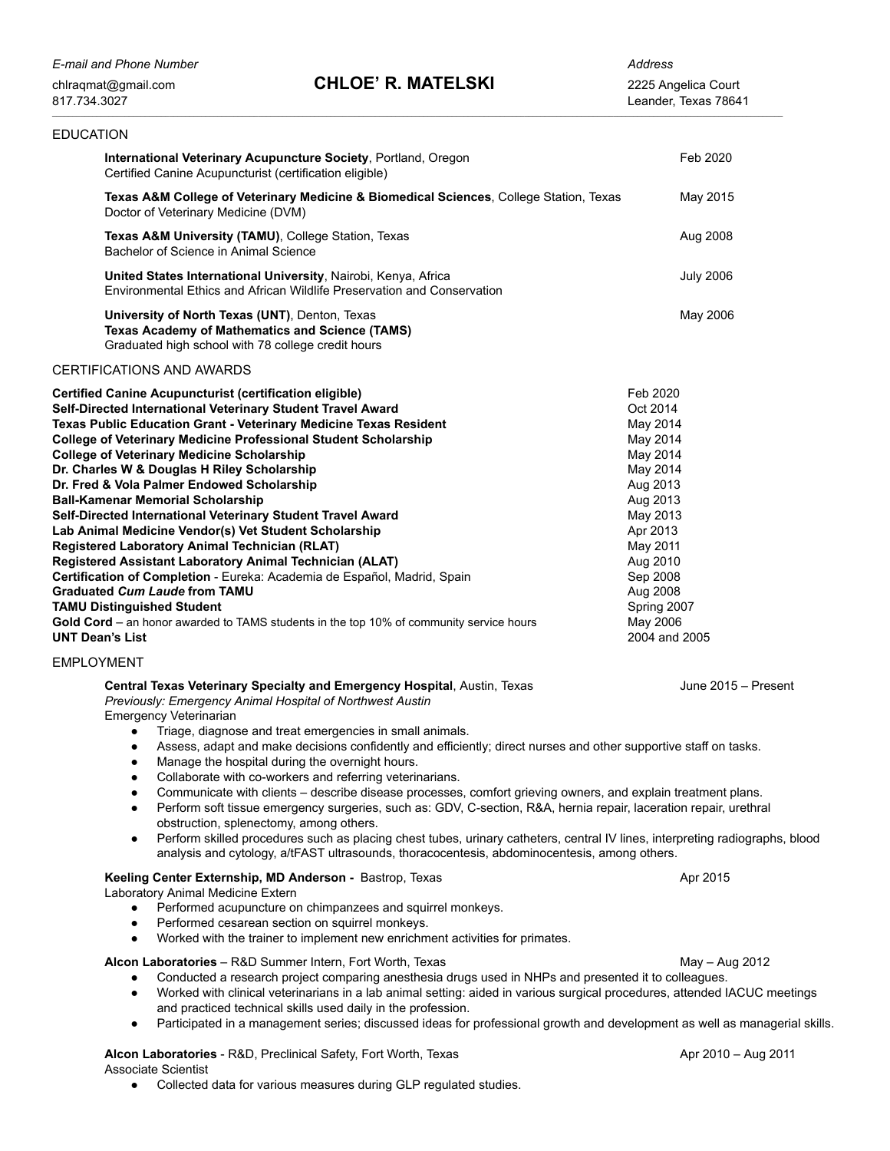| <b>EDUCATION</b>                                                                                                                                                                                                                                                                                                                                                                                                                                                                                                                                                                                                                                                                                                                                                                                                                                                                                                                                                                                                                                                    |                                                                                                                                                                                                                  |
|---------------------------------------------------------------------------------------------------------------------------------------------------------------------------------------------------------------------------------------------------------------------------------------------------------------------------------------------------------------------------------------------------------------------------------------------------------------------------------------------------------------------------------------------------------------------------------------------------------------------------------------------------------------------------------------------------------------------------------------------------------------------------------------------------------------------------------------------------------------------------------------------------------------------------------------------------------------------------------------------------------------------------------------------------------------------|------------------------------------------------------------------------------------------------------------------------------------------------------------------------------------------------------------------|
| International Veterinary Acupuncture Society, Portland, Oregon<br>Certified Canine Acupuncturist (certification eligible)                                                                                                                                                                                                                                                                                                                                                                                                                                                                                                                                                                                                                                                                                                                                                                                                                                                                                                                                           | Feb 2020                                                                                                                                                                                                         |
| Texas A&M College of Veterinary Medicine & Biomedical Sciences, College Station, Texas<br>Doctor of Veterinary Medicine (DVM)                                                                                                                                                                                                                                                                                                                                                                                                                                                                                                                                                                                                                                                                                                                                                                                                                                                                                                                                       | May 2015                                                                                                                                                                                                         |
| <b>Texas A&amp;M University (TAMU), College Station, Texas</b><br>Bachelor of Science in Animal Science                                                                                                                                                                                                                                                                                                                                                                                                                                                                                                                                                                                                                                                                                                                                                                                                                                                                                                                                                             | Aug 2008                                                                                                                                                                                                         |
| United States International University, Nairobi, Kenya, Africa<br>Environmental Ethics and African Wildlife Preservation and Conservation                                                                                                                                                                                                                                                                                                                                                                                                                                                                                                                                                                                                                                                                                                                                                                                                                                                                                                                           | <b>July 2006</b>                                                                                                                                                                                                 |
| University of North Texas (UNT), Denton, Texas<br><b>Texas Academy of Mathematics and Science (TAMS)</b><br>Graduated high school with 78 college credit hours                                                                                                                                                                                                                                                                                                                                                                                                                                                                                                                                                                                                                                                                                                                                                                                                                                                                                                      | May 2006                                                                                                                                                                                                         |
| <b>CERTIFICATIONS AND AWARDS</b>                                                                                                                                                                                                                                                                                                                                                                                                                                                                                                                                                                                                                                                                                                                                                                                                                                                                                                                                                                                                                                    |                                                                                                                                                                                                                  |
| <b>Certified Canine Acupuncturist (certification eligible)</b><br>Self-Directed International Veterinary Student Travel Award<br>Texas Public Education Grant - Veterinary Medicine Texas Resident<br><b>College of Veterinary Medicine Professional Student Scholarship</b><br><b>College of Veterinary Medicine Scholarship</b><br>Dr. Charles W & Douglas H Riley Scholarship<br>Dr. Fred & Vola Palmer Endowed Scholarship<br><b>Ball-Kamenar Memorial Scholarship</b><br>Self-Directed International Veterinary Student Travel Award<br>Lab Animal Medicine Vendor(s) Vet Student Scholarship<br>Registered Laboratory Animal Technician (RLAT)<br>Registered Assistant Laboratory Animal Technician (ALAT)<br>Certification of Completion - Eureka: Academia de Español, Madrid, Spain<br><b>Graduated Cum Laude from TAMU</b><br><b>TAMU Distinguished Student</b><br>Gold Cord – an honor awarded to TAMS students in the top 10% of community service hours<br><b>UNT Dean's List</b>                                                                      | Feb 2020<br>Oct 2014<br>May 2014<br>May 2014<br>May 2014<br>May 2014<br>Aug 2013<br>Aug 2013<br>May 2013<br>Apr 2013<br>May 2011<br>Aug 2010<br>Sep 2008<br>Aug 2008<br>Spring 2007<br>May 2006<br>2004 and 2005 |
| <b>EMPLOYMENT</b>                                                                                                                                                                                                                                                                                                                                                                                                                                                                                                                                                                                                                                                                                                                                                                                                                                                                                                                                                                                                                                                   |                                                                                                                                                                                                                  |
| Central Texas Veterinary Specialty and Emergency Hospital, Austin, Texas<br>Previously: Emergency Animal Hospital of Northwest Austin<br><b>Emergency Veterinarian</b><br>Triage, diagnose and treat emergencies in small animals.<br>$\bullet$<br>Assess, adapt and make decisions confidently and efficiently; direct nurses and other supportive staff on tasks.<br>$\bullet$<br>Manage the hospital during the overnight hours.<br>Collaborate with co-workers and referring veterinarians.<br>$\bullet$<br>Communicate with clients - describe disease processes, comfort grieving owners, and explain treatment plans.<br>$\bullet$<br>Perform soft tissue emergency surgeries, such as: GDV, C-section, R&A, hernia repair, laceration repair, urethral<br>$\bullet$<br>obstruction, splenectomy, among others.<br>Perform skilled procedures such as placing chest tubes, urinary catheters, central IV lines, interpreting radiographs, blood<br>$\bullet$<br>analysis and cytology, a/tFAST ultrasounds, thoracocentesis, abdominocentesis, among others. | June 2015 - Present                                                                                                                                                                                              |
| Keeling Center Externship, MD Anderson - Bastrop, Texas<br>Laboratory Animal Medicine Extern<br>Performed acupuncture on chimpanzees and squirrel monkeys.<br>Performed cesarean section on squirrel monkeys.<br>$\bullet$<br>Worked with the trainer to implement new enrichment activities for primates.<br>$\bullet$                                                                                                                                                                                                                                                                                                                                                                                                                                                                                                                                                                                                                                                                                                                                             | Apr 2015                                                                                                                                                                                                         |
| Alcon Laboratories - R&D Summer Intern, Fort Worth, Texas<br>Conducted a research project comparing anesthesia drugs used in NHPs and presented it to colleagues.<br>Worked with clinical veterinarians in a lab animal setting: aided in various surgical procedures, attended IACUC meetings<br>$\bullet$<br>and practiced technical skills used daily in the profession.<br>Participated in a management series; discussed ideas for professional growth and development as well as managerial skills.<br>$\bullet$                                                                                                                                                                                                                                                                                                                                                                                                                                                                                                                                              | May - Aug 2012                                                                                                                                                                                                   |

Alcon Laboratories - R&D, Preclinical Safety, Fort Worth, Texas Apr 2010 – Aug 2011 Associate Scientist

● Collected data for various measures during GLP regulated studies.